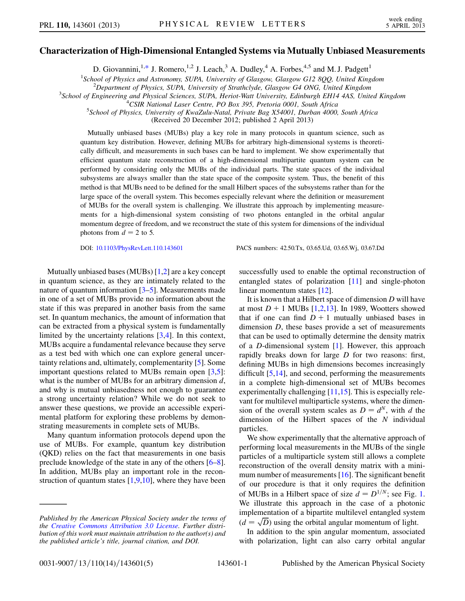## <span id="page-0-0"></span>Characterization of High-Dimensional Entangled Systems via Mutually Unbiased Measurements

D. Giovannini,<sup>1,[\\*](#page-4-0)</sup> J. Romero,<sup>1,2</sup> J. Leach,<sup>3</sup> A. Dudley,<sup>4</sup> A. Forbes,<sup>4,5</sup> and M. J. Padgett<sup>1</sup>

<sup>1</sup>School of Physics and Astronomy, SUPA, University of Glasgow, Glasgow G12 8QQ, United Kingdom<br><sup>2</sup>Danartment of Physics, SUPA, University of Strathclyde, Glasgow, G4 ONG, United Kingdom

 $^{2}$ Department of Physics, SUPA, University of Strathclyde, Glasgow G4 ONG, United Kingdom

<sup>3</sup>School of Engineering and Physical Sciences, SUPA, Heriot-Watt University, Edinburgh EH14 4AS, United Kingdom

 ${}^{4}C$ SIR National Laser Centre, PO Box 395, Pretoria 0001, South Africa

<sup>5</sup>School of Physics, University of KwaZulu-Natal, Private Bag X54001, Durban 4000, South Africa

(Received 20 December 2012; published 2 April 2013)

Mutually unbiased bases (MUBs) play a key role in many protocols in quantum science, such as quantum key distribution. However, defining MUBs for arbitrary high-dimensional systems is theoretically difficult, and measurements in such bases can be hard to implement. We show experimentally that efficient quantum state reconstruction of a high-dimensional multipartite quantum system can be performed by considering only the MUBs of the individual parts. The state spaces of the individual subsystems are always smaller than the state space of the composite system. Thus, the benefit of this method is that MUBs need to be defined for the small Hilbert spaces of the subsystems rather than for the large space of the overall system. This becomes especially relevant where the definition or measurement of MUBs for the overall system is challenging. We illustrate this approach by implementing measurements for a high-dimensional system consisting of two photons entangled in the orbital angular momentum degree of freedom, and we reconstruct the state of this system for dimensions of the individual photons from  $d = 2$  to 5.

DOI: [10.1103/PhysRevLett.110.143601](http://dx.doi.org/10.1103/PhysRevLett.110.143601) PACS numbers: 42.50.Tx, 03.65.Ud, 03.65.Wj, 03.67.Dd

Mutually unbiased bases (MUBs) [\[1](#page-4-1),[2](#page-4-2)] are a key concept in quantum science, as they are intimately related to the nature of quantum information [[3–](#page-4-3)[5](#page-4-4)]. Measurements made in one of a set of MUBs provide no information about the state if this was prepared in another basis from the same set. In quantum mechanics, the amount of information that can be extracted from a physical system is fundamentally limited by the uncertainty relations [[3](#page-4-3),[4\]](#page-4-5). In this context, MUBs acquire a fundamental relevance because they serve as a test bed with which one can explore general uncertainty relations and, ultimately, complementarity [[5\]](#page-4-4). Some important questions related to MUBs remain open [[3](#page-4-3)[,5\]](#page-4-4): what is the number of MUBs for an arbitrary dimension  $d$ , and why is mutual unbiasedness not enough to guarantee a strong uncertainty relation? While we do not seek to answer these questions, we provide an accessible experimental platform for exploring these problems by demonstrating measurements in complete sets of MUBs.

Many quantum information protocols depend upon the use of MUBs. For example, quantum key distribution (QKD) relies on the fact that measurements in one basis preclude knowledge of the state in any of the others [\[6–](#page-4-6)[8\]](#page-4-7). In addition, MUBs play an important role in the reconstruction of quantum states  $[1,9,10]$  $[1,9,10]$  $[1,9,10]$  $[1,9,10]$ , where they have been successfully used to enable the optimal reconstruction of entangled states of polarization [[11](#page-4-10)] and single-photon linear momentum states [[12](#page-4-11)].

It is known that a Hilbert space of dimension  $D$  will have at most  $D + 1$  $D + 1$  MUBs [1[,2,](#page-4-2)[13\]](#page-4-12). In 1989, Wootters showed that if one can find  $D + 1$  mutually unbiased bases in dimension  $D$ , these bases provide a set of measurements that can be used to optimally determine the density matrix of a D-dimensional system [[1\]](#page-4-1). However, this approach rapidly breaks down for large D for two reasons: first, defining MUBs in high dimensions becomes increasingly difficult [[5](#page-4-4)[,14\]](#page-4-13), and second, performing the measurements in a complete high-dimensional set of MUBs becomes experimentally challenging  $[11,15]$  $[11,15]$  $[11,15]$  $[11,15]$  $[11,15]$ . This is especially relevant for multilevel multiparticle systems, where the dimension of the overall system scales as  $D = d^N$ , with d the dimension of the Hilbert spaces of the  $N$  individual particles.

We show experimentally that the alternative approach of performing local measurements in the MUBs of the single particles of a multiparticle system still allows a complete reconstruction of the overall density matrix with a mini-mum number of measurements [[16](#page-4-15)]. The significant benefit of our procedure is that it only requires the definition of MUBs in a Hilbert space of size  $d = D^{1/N}$  $d = D^{1/N}$  $d = D^{1/N}$ ; see Fig. 1. We illustrate this approach in the case of a photonic implementation of a bipartite multilevel entangled system  $(d = \sqrt{D})$  using the orbital angular momentum of light.<br>In addition to the spin angular momentum associate

In addition to the spin angular momentum, associated with polarization, light can also carry orbital angular

Published by the American Physical Society under the terms of the [Creative Commons Attribution 3.0 License.](http://creativecommons.org/licenses/by/3.0/) Further distribution of this work must maintain attribution to the author(s) and the published article's title, journal citation, and DOI.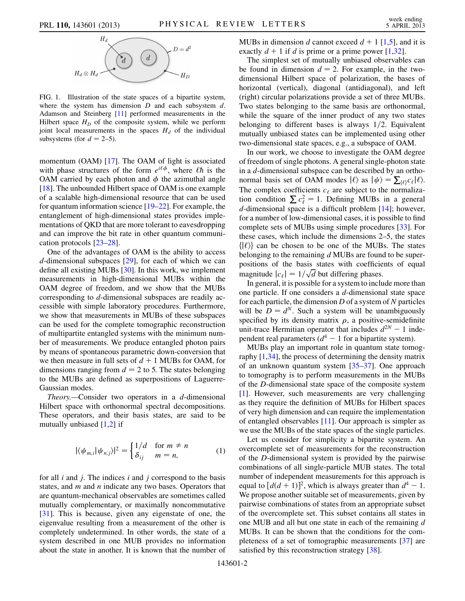<span id="page-1-0"></span>

FIG. 1. Illustration of the state spaces of a bipartite system, where the system has dimension  $D$  and each subsystem  $d$ . Adamson and Steinberg [\[11\]](#page-4-10) performed measurements in the Hilbert space  $H_D$  of the composite system, while we perform joint local measurements in the spaces  $H<sub>d</sub>$  of the individual subsystems (for  $d = 2-5$ ).

momentum (OAM) [\[17\]](#page-4-16). The OAM of light is associated with phase structures of the form  $e^{i\ell\phi}$ , where  $\ell\hbar$  is the OAM carried by each photon and  $\phi$  the azimuthal angle [\[18\]](#page-4-17). The unbounded Hilbert space of OAM is one example of a scalable high-dimensional resource that can be used for quantum information science [\[19–](#page-4-18)[22](#page-4-19)]. For example, the entanglement of high-dimensional states provides implementations of QKD that are more tolerant to eavesdropping and can improve the bit rate in other quantum communication protocols [\[23–](#page-4-20)[28](#page-4-21)].

One of the advantages of OAM is the ability to access  $d$ -dimensional subspaces  $[29]$ , for each of which we can define all existing MUBs [[30](#page-4-23)]. In this work, we implement measurements in high-dimensional MUBs within the OAM degree of freedom, and we show that the MUBs corresponding to d-dimensional subspaces are readily accessible with simple laboratory procedures. Furthermore, we show that measurements in MUBs of these subspaces can be used for the complete tomographic reconstruction of multipartite entangled systems with the minimum number of measurements. We produce entangled photon pairs by means of spontaneous parametric down-conversion that we then measure in full sets of  $d + 1$  MUBs for OAM, for dimensions ranging from  $d = 2$  to 5. The states belonging to the MUBs are defined as superpositions of Laguerre-Gaussian modes.

*Theory.*—Consider two operators in a  $d$ -dimensional Hilbert space with orthonormal spectral decompositions. These operators, and their basis states, are said to be mutually unbiased  $[1,2]$  $[1,2]$  $[1,2]$  $[1,2]$  if

$$
|\langle \psi_{m,i} | \psi_{n,j} \rangle|^2 = \begin{cases} 1/d & \text{for } m \neq n \\ \delta_{ij} & m = n, \end{cases}
$$
 (1)

for all  $i$  and  $j$ . The indices  $i$  and  $j$  correspond to the basis states, and  $m$  and  $n$  indicate any two bases. Operators that are quantum-mechanical observables are sometimes called mutually complementary, or maximally noncommutative [\[31\]](#page-4-24). This is because, given any eigenstate of one, the eigenvalue resulting from a measurement of the other is completely undetermined. In other words, the state of a system described in one MUB provides no information about the state in another. It is known that the number of MUBs in dimension d cannot exceed  $d + 1$  $d + 1$  [1[,5\]](#page-4-4), and it is exactly  $d + 1$  $d + 1$  if d is prime or a prime power [1,[32](#page-4-25)].

The simplest set of mutually unbiased observables can be found in dimension  $d = 2$ . For example, in the twodimensional Hilbert space of polarization, the bases of horizontal (vertical), diagonal (antidiagonal), and left (right) circular polarizations provide a set of three MUBs. Two states belonging to the same basis are orthonormal, while the square of the inner product of any two states belonging to different bases is always  $1/2$ . Equivalent mutually unbiased states can be implemented using other two-dimensional state spaces, e.g., a subspace of OAM.

In our work, we choose to investigate the OAM degree of freedom of single photons. A general single-photon state in a d-dimensional subspace can be described by an orthonormal basis set of OAM modes  $|\ell\rangle$  as  $|\psi\rangle = \sum_{\{\ell\}} c_{\ell} |\ell\rangle$ .<br>The complex coefficients  $c_k$  are subject to the normaliza The complex coefficients  $c_{\ell}$  are subject to the normalization condition  $\sum c_{\ell}^2 = 1$ . Defining MUBs in a general dedimensional space is a difficult problem [14]; however d-dimensional space is a difficult problem [\[14\]](#page-4-13); however, for a number of low-dimensional cases, it is possible to find complete sets of MUBs using simple procedures [\[33\]](#page-4-26). For these cases, which include the dimensions 2–5, the states  $\{|\ell\rangle\}$  can be chosen to be one of the MUBs. The states belonging to the remaining  $d$  MUBs are found to be superpositions of the basis states with coefficients of equal magnitude  $|c_{\ell}| = 1/\sqrt{d}$  but differing phases.<br>In general it is possible for a system to inclu-

In general, it is possible for a system to include more than one particle. If one considers a d-dimensional state space for each particle, the dimension  $D$  of a system of  $N$  particles will be  $D = d^N$ . Such a system will be unambiguously specified by its density matrix  $\rho$ , a positive-semidefinite unit-trace Hermitian operator that includes  $d^{2N} - 1$  independent real parameters  $(d^4 - 1$  for a bipartite system).

MUBs play an important role in quantum state tomography [[1,](#page-4-1)[34](#page-4-27)], the process of determining the density matrix of an unknown quantum system [\[35–](#page-4-28)[37](#page-4-29)]. One approach to tomography is to perform measurements in the MUBs of the D-dimensional state space of the composite system [\[1\]](#page-4-1). However, such measurements are very challenging as they require the definition of MUBs for Hilbert spaces of very high dimension and can require the implementation of entangled observables [\[11\]](#page-4-10). Our approach is simpler as we use the MUBs of the state spaces of the single particles.

Let us consider for simplicity a bipartite system. An overcomplete set of measurements for the reconstruction of the D-dimensional system is provided by the pairwise combinations of all single-particle MUB states. The total number of independent measurements for this approach is equal to  $\left[ d(d+1) \right]^2$ , which is always greater than  $d^4 - 1$ .<br>We propose another suitable set of measurements, given by We propose another suitable set of measurements, given by pairwise combinations of states from an appropriate subset of the overcomplete set. This subset contains all states in one MUB and all but one state in each of the remaining d MUBs. It can be shown that the conditions for the completeness of a set of tomographic measurements [[37\]](#page-4-29) are satisfied by this reconstruction strategy [[38](#page-4-30)].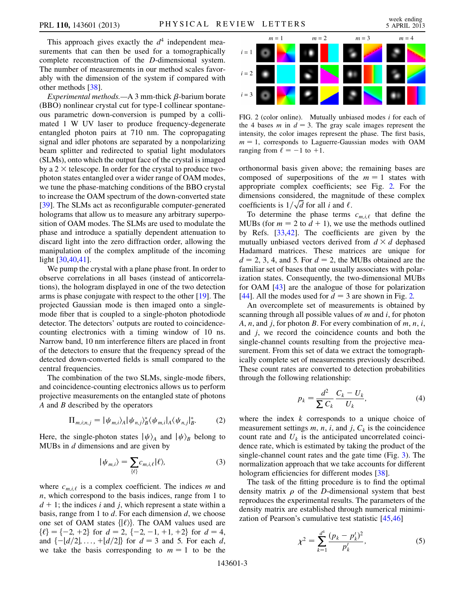This approach gives exactly the  $d<sup>4</sup>$  independent measurements that can then be used for a tomographically complete reconstruction of the D-dimensional system. The number of measurements in our method scales favorably with the dimension of the system if compared with other methods [[38\]](#page-4-30).

Experimental methods.—A 3 mm-thick  $\beta$ -barium borate (BBO) nonlinear crystal cut for type-I collinear spontaneous parametric down-conversion is pumped by a collimated 1 W UV laser to produce frequency-degenerate entangled photon pairs at 710 nm. The copropagating signal and idler photons are separated by a nonpolarizing beam splitter and redirected to spatial light modulators (SLMs), onto which the output face of the crystal is imaged by a  $2 \times$  telescope. In order for the crystal to produce twophoton states entangled over a wider range of OAM modes, we tune the phase-matching conditions of the BBO crystal to increase the OAM spectrum of the down-converted state [\[39\]](#page-4-31). The SLMs act as reconfigurable computer-generated holograms that allow us to measure any arbitrary superposition of OAM modes. The SLMs are used to modulate the phase and introduce a spatially dependent attenuation to discard light into the zero diffraction order, allowing the manipulation of the complex amplitude of the incoming light [[30](#page-4-23),[40](#page-4-32),[41](#page-4-33)].

We pump the crystal with a plane phase front. In order to observe correlations in all bases (instead of anticorrelations), the hologram displayed in one of the two detection arms is phase conjugate with respect to the other [[19](#page-4-18)]. The projected Gaussian mode is then imaged onto a singlemode fiber that is coupled to a single-photon photodiode detector. The detectors' outputs are routed to coincidencecounting electronics with a timing window of 10 ns. Narrow band, 10 nm interference filters are placed in front of the detectors to ensure that the frequency spread of the detected down-converted fields is small compared to the central frequencies.

The combination of the two SLMs, single-mode fibers, and coincidence-counting electronics allows us to perform projective measurements on the entangled state of photons  $A$  and  $B$  described by the operators

$$
\Pi_{m,i;n,j} = |\psi_{m,i}\rangle_A |\psi_{n,j}\rangle_B^* \langle \psi_{m,i}|_A \langle \psi_{n,j}|_B^*.
$$
 (2)

Here, the single-photon states  $|\psi\rangle_A$  and  $|\psi\rangle_B$  belong to MUBs in  $d$  dimensions and are given by

$$
|\psi_{m,i}\rangle = \sum_{\{\ell\}} c_{m,i,\ell} |\ell\rangle,\tag{3}
$$

where  $c_{m,i,\ell}$  is a complex coefficient. The indices m and  $n$ , which correspond to the basis indices, range from 1 to  $d + 1$ ; the indices i and j, which represent a state within a basis, range from 1 to  $d$ . For each dimension  $d$ , we choose one set of OAM states  $\{|\ell\rangle\}$ . The OAM values used are  $\{\ell\} = \{-2, +2\}$  for  $d = 2, \{-2, -1, +1, +2\}$  for  $d = 4$ , and  $\{-[d/2], \ldots, +[d/2]\}\$  for  $d = 3$  and 5. For each d, we take the basis corresponding to  $m = 1$  to be the

<span id="page-2-0"></span>

FIG. 2 (color online). Mutually unbiased modes i for each of the 4 bases m in  $d = 3$ . The gray scale images represent the intensity, the color images represent the phase. The first basis,  $m = 1$ , corresponds to Laguerre-Gaussian modes with OAM ranging from  $\ell = -1$  to  $+1$ .

orthonormal basis given above; the remaining bases are composed of superpositions of the  $m = 1$  states with appropriate complex coefficients; see Fig. [2.](#page-2-0) For the dimensions considered, the magnitude of these complex coefficients is  $1/\sqrt{d}$  for all *i* and  $\ell$ .

To determine the phase terms  $c_{m,i,\ell}$  that define the MUBs (for  $m = 2$  to  $d + 1$ ), we use the methods outlined by Refs. [[33](#page-4-26),[42](#page-4-34)]. The coefficients are given by the mutually unbiased vectors derived from  $d \times d$  dephased Hadamard matrices. These matrices are unique for  $d = 2, 3, 4,$  and 5. For  $d = 2$ , the MUBs obtained are the familiar set of bases that one usually associates with polarization states. Consequently, the two-dimensional MUBs for OAM [\[43\]](#page-4-35) are the analogue of those for polarization [\[44\]](#page-4-36). All the modes used for  $d = 3$  are shown in Fig. [2.](#page-2-0)

An overcomplete set of measurements is obtained by scanning through all possible values of  $m$  and  $i$ , for photon A, n, and j, for photon B. For every combination of  $m$ ,  $n$ ,  $i$ , and  $j$ , we record the coincidence counts and both the single-channel counts resulting from the projective measurement. From this set of data we extract the tomographically complete set of measurements previously described. These count rates are converted to detection probabilities through the following relationship:

$$
p_k = \frac{d^2}{\sum C_k} \frac{C_k - U_k}{U_k},\tag{4}
$$

where the index  $k$  corresponds to a unique choice of measurement settings  $m$ ,  $n$ ,  $i$ , and  $j$ ,  $C_k$  is the coincidence count rate and  $U_k$  is the anticipated uncorrelated coincidence rate, which is estimated by taking the product of the single-channel count rates and the gate time (Fig. [3](#page-3-0)). The normalization approach that we take accounts for different hologram efficiencies for different modes [\[38](#page-4-30)].

The task of the fitting procedure is to find the optimal density matrix  $\rho$  of the *D*-dimensional system that best reproduces the experimental results. The parameters of the density matrix are established through numerical minimization of Pearson's cumulative test statistic [\[45,](#page-4-37)[46\]](#page-4-38)

$$
\chi^2 = \sum_{k=1}^{d^4} \frac{(p_k - p'_k)^2}{p'_k},\tag{5}
$$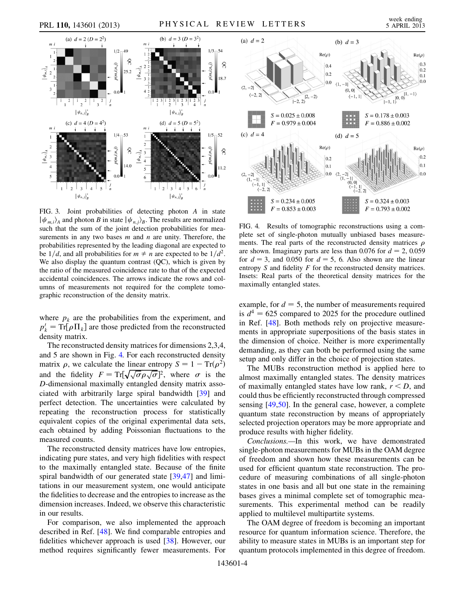<span id="page-3-0"></span>

FIG. 3. Joint probabilities of detecting photon A in state  $|\psi_{m,i}\rangle_A$  and photon B in state  $|\psi_{n,j}\rangle_B$ . The results are normalized such that the sum of the joint detection probabilities for measurements in any two bases  $m$  and  $n$  are unity. Therefore, the probabilities represented by the leading diagonal are expected to be  $1/d$ , and all probabilities for  $m \neq n$  are expected to be  $1/d^2$ . We also display the quantum contrast (QC), which is given by the ratio of the measured coincidence rate to that of the expected accidental coincidences. The arrows indicate the rows and columns of measurements not required for the complete tomographic reconstruction of the density matrix.

where  $p_k$  are the probabilities from the experiment, and  $p'_k = \text{Tr}[\rho \Pi_k]$  are those predicted from the reconstructed<br>density matrix density matrix.

The reconstructed density matrices for dimensions 2,3,4, and 5 are shown in Fig. [4.](#page-3-1) For each reconstructed density matrix  $\rho$ , we calculate the linear entropy  $S = 1 - Tr(\rho^2)$ and the fidelity  $F = \text{Tr}[\sqrt{\sqrt{\sigma \rho} \sqrt{\sigma}}]$ <br>D-dimensional maximally entangled  $]^{2}$ , where  $\sigma$  is the D-dimensional maximally entangled density matrix associated with arbitrarily large spiral bandwidth [\[39\]](#page-4-31) and perfect detection. The uncertainties were calculated by repeating the reconstruction process for statistically equivalent copies of the original experimental data sets, each obtained by adding Poissonian fluctuations to the measured counts.

The reconstructed density matrices have low entropies, indicating pure states, and very high fidelities with respect to the maximally entangled state. Because of the finite spiral bandwidth of our generated state [\[39,](#page-4-31)[47\]](#page-4-39) and limitations in our measurement system, one would anticipate the fidelities to decrease and the entropies to increase as the dimension increases. Indeed, we observe this characteristic in our results.

For comparison, we also implemented the approach described in Ref. [\[48\]](#page-4-40). We find comparable entropies and fidelities whichever approach is used [[38](#page-4-30)]. However, our method requires significantly fewer measurements. For

<span id="page-3-1"></span>

FIG. 4. Results of tomographic reconstructions using a complete set of single-photon mutually unbiased bases measurements. The real parts of the reconstructed density matrices  $\rho$ are shown. Imaginary parts are less than 0.076 for  $d = 2$ , 0.059 for  $d = 3$ , and 0.050 for  $d = 5$ , 6. Also shown are the linear entropy  $S$  and fidelity  $F$  for the reconstructed density matrices. Insets: Real parts of the theoretical density matrices for the maximally entangled states.

example, for  $d = 5$ , the number of measurements required is  $d^4 = 625$  compared to 2025 for the procedure outlined in Ref. [\[48\]](#page-4-40). Both methods rely on projective measurements in appropriate superpositions of the basis states in the dimension of choice. Neither is more experimentally demanding, as they can both be performed using the same setup and only differ in the choice of projection states.

The MUBs reconstruction method is applied here to almost maximally entangled states. The density matrices of maximally entangled states have low rank,  $r < D$ , and could thus be efficiently reconstructed through compressed sensing [\[49,](#page-4-41)[50\]](#page-4-42). In the general case, however, a complete quantum state reconstruction by means of appropriately selected projection operators may be more appropriate and produce results with higher fidelity.

Conclusions.—In this work, we have demonstrated single-photon measurements for MUBs in the OAM degree of freedom and shown how these measurements can be used for efficient quantum state reconstruction. The procedure of measuring combinations of all single-photon states in one basis and all but one state in the remaining bases gives a minimal complete set of tomographic measurements. This experimental method can be readily applied to multilevel multipartite systems.

The OAM degree of freedom is becoming an important resource for quantum information science. Therefore, the ability to measure states in MUBs is an important step for quantum protocols implemented in this degree of freedom.